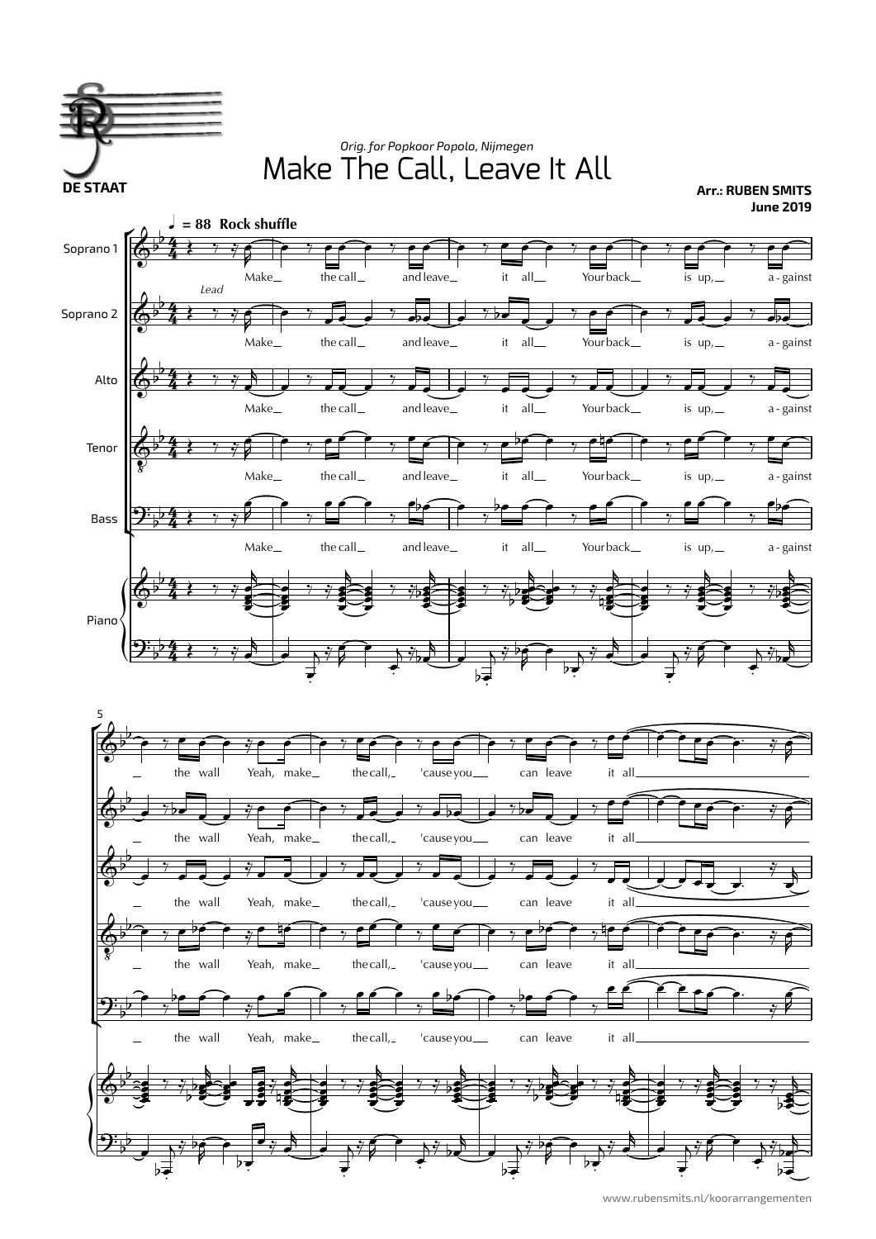

www.rubensmits.nl/koorarrangementen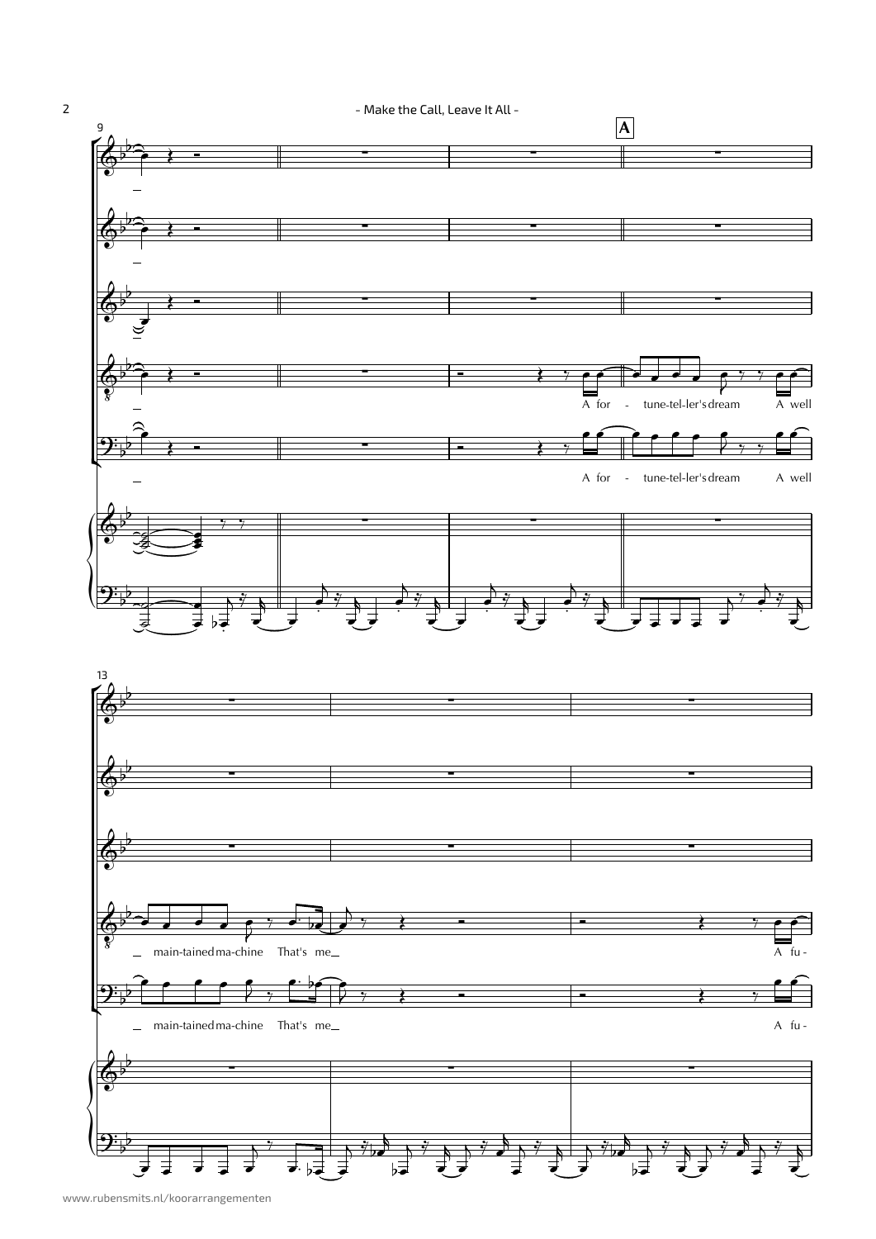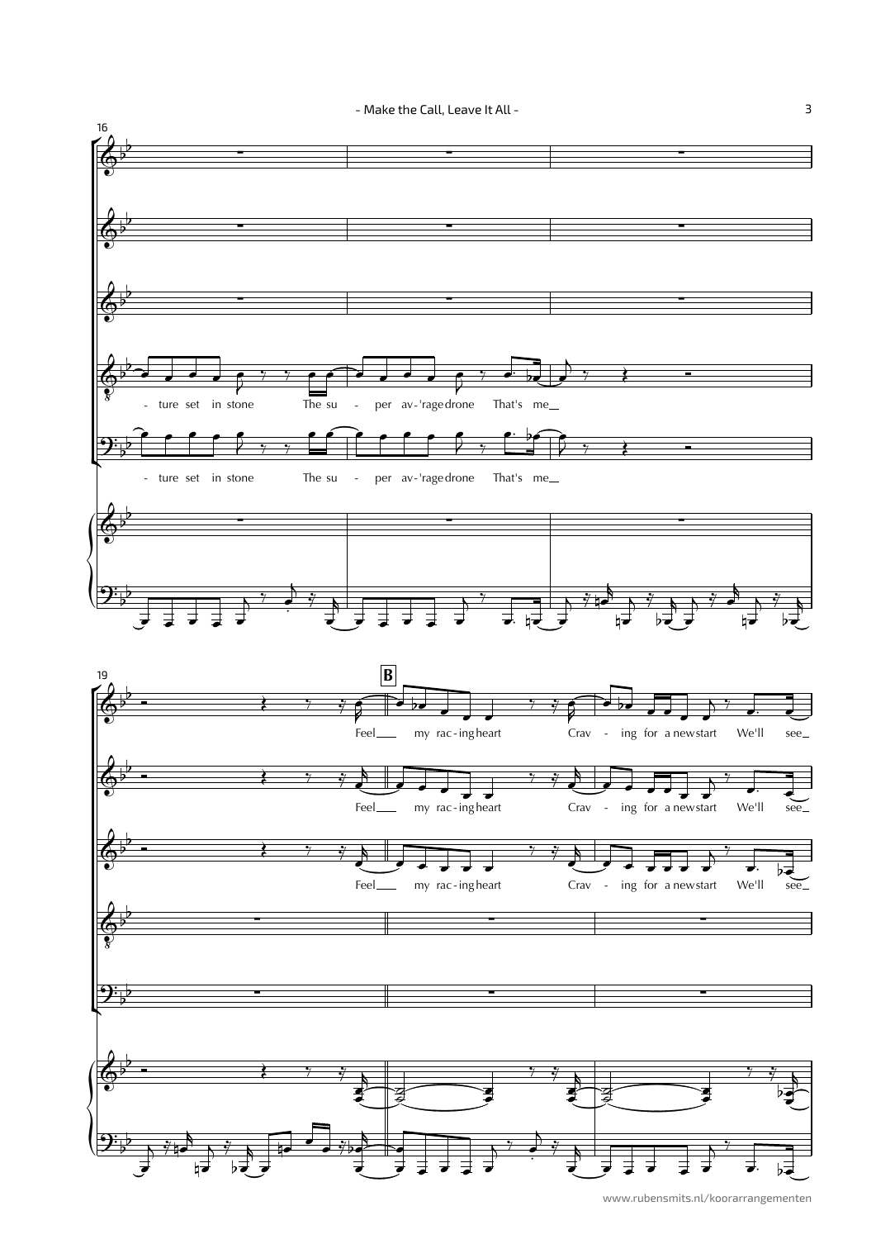



3